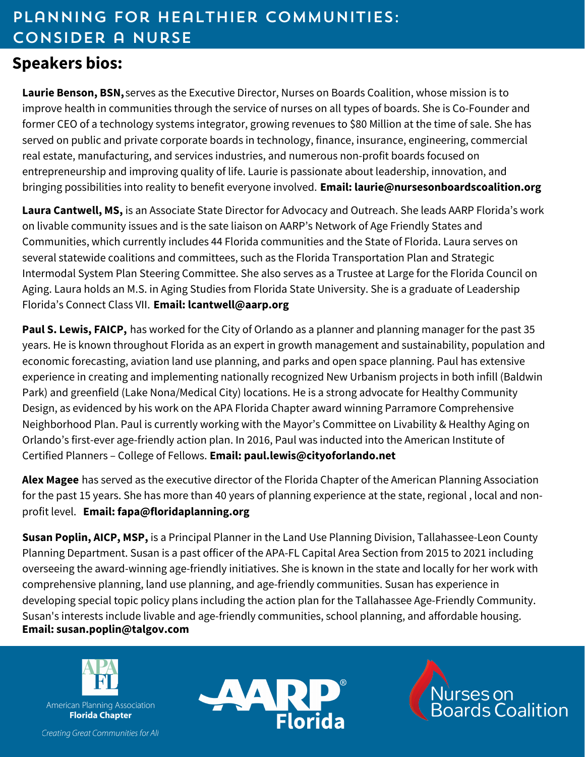# Planning for Healthier Communities: Consider a Nurse

## **Speakers bios:**

**Laurie Benson, BSN,** serves as the Executive Director, Nurses on Boards Coalition, whose mission is to improve health in communities through the service of nurses on all types of boards. She is Co-Founder and former CEO of a technology systems integrator, growing revenues to \$80 Million at the time of sale. She has served on public and private corporate boards in technology, finance, insurance, engineering, commercial real estate, manufacturing, and services industries, and numerous non-profit boards focused on entrepreneurship and improving quality of life. Laurie is passionate about leadership, innovation, and bringing possibilities into reality to benefit everyone involved. **Email: laurie@nursesonboardscoalition.org**

**Laura Cantwell, MS,** is an Associate State Director for Advocacy and Outreach. She leads AARP Florida's work on livable community issues and is the sate liaison on AARP's Network of Age Friendly States and Communities, which currently includes 44 Florida communities and the State of Florida. Laura serves on several statewide coalitions and committees, such as the Florida Transportation Plan and Strategic Intermodal System Plan Steering Committee. She also serves as a Trustee at Large for the Florida Council on Aging. Laura holds an M.S. in Aging Studies from Florida State University. She is a graduate of Leadership Florida's Connect Class VII. **Email: lcantwell@aarp.org**

**Paul S. Lewis, FAICP,** has worked for the City of Orlando as a planner and planning manager for the past 35 years. He is known throughout Florida as an expert in growth management and sustainability, population and economic forecasting, aviation land use planning, and parks and open space planning. Paul has extensive experience in creating and implementing nationally recognized New Urbanism projects in both infill (Baldwin Park) and greenfield (Lake Nona/Medical City) locations. He is a strong advocate for Healthy Community Design, as evidenced by his work on the APA Florida Chapter award winning Parramore Comprehensive Neighborhood Plan. Paul is currently working with the Mayor's Committee on Livability & Healthy Aging on Orlando's first-ever age-friendly action plan. In 2016, Paul was inducted into the American Institute of Certified Planners – College of Fellows. **Email: [paul.lewis@cityoforlando.net](mailto:Paul.Lewis@cityoforlando.net)**

**Alex Magee** has served as the executive director of the Florida Chapter of the American Planning Association for the past 15 years. She has more than 40 years of planning experience at the state, regional , local and nonprofit level. **Email: fap[a@f](mailto:Paul.Lewis@cityoforlando.net)loridaplanning.org**

**Susan Poplin, AICP, MSP,** is a Principal Planner in the Land Use Planning Division, Tallahassee-Leon County Planning Department. Susan is a past officer of the APA-FL Capital Area Section from 2015 to 2021 including overseeing the award-winning age-friendly initiatives. She is known in the state and locally for her work with comprehensive planning, land use planning, and age-friendly communities. Susan has experience in developing special topic policy plans including the action plan for the Tallahassee Age-Friendly Community. Susan's interests include livable and age-friendly communities, school planning, and affordable housing. **Email: susan.poplin@talgov.com**



American Planning Association **Florida Chapter** 



lùrses on<br>}oards Coalition